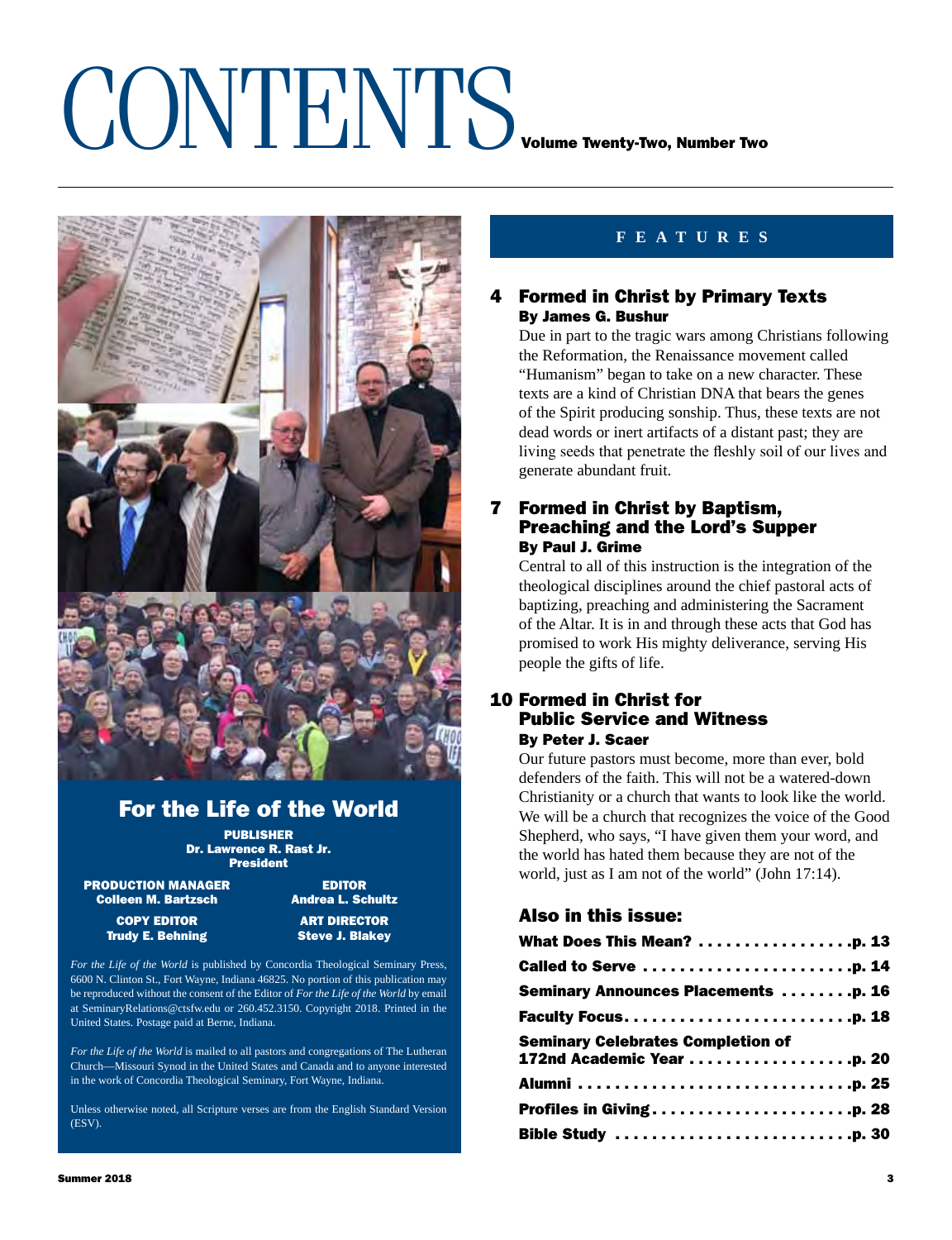## CONTENTS VOLUME TWENTING, Number Two



## For the Life of the World

PUBLISHER Dr. Lawrence R. Rast Jr. President

**PRODUCTION MANAGER EDITOR**<br>Colleen M. Bartzsch **Andrea L. Schultz Colleen M. Bartzsch** 

**Trudy E. Behning** 

**COPY** EDITOR **ART DIRECTOR**<br>
The Steve J. Blakev (Capture 2014)

*For the Life of the World* is published by Concordia Theological Seminary Press, 6600 N. Clinton St., Fort Wayne, Indiana 46825. No portion of this publication may be reproduced without the consent of the Editor of *For the Life of the World* by email at SeminaryRelations@ctsfw.edu or 260.452.3150. Copyright 2018. Printed in the United States. Postage paid at Berne, Indiana.

*For the Life of the World* is mailed to all pastors and congregations of The Lutheran Church—Missouri Synod in the United States and Canada and to anyone interested in the work of Concordia Theological Seminary, Fort Wayne, Indiana.

Unless otherwise noted, all Scripture verses are from the English Standard Version (ESV).

### **features**

### 4 Formed in Christ by Primary Texts By James G. Bushur

Due in part to the tragic wars among Christians following the Reformation, the Renaissance movement called "Humanism" began to take on a new character. These texts are a kind of Christian DNA that bears the genes of the Spirit producing sonship. Thus, these texts are not dead words or inert artifacts of a distant past; they are living seeds that penetrate the fleshly soil of our lives and generate abundant fruit.

### 7 Formed in Christ by Baptism, Preaching and the Lord's Supper By Paul J. Grime

Central to all of this instruction is the integration of the theological disciplines around the chief pastoral acts of baptizing, preaching and administering the Sacrament of the Altar. It is in and through these acts that God has promised to work His mighty deliverance, serving His people the gifts of life.

### 10 Formed in Christ for Public Service and Witness By Peter J. Scaer

Our future pastors must become, more than ever, bold defenders of the faith. This will not be a watered-down Christianity or a church that wants to look like the world. We will be a church that recognizes the voice of the Good Shepherd, who says, "I have given them your word, and the world has hated them because they are not of the world, just as I am not of the world" (John 17:14).

### Also in this issue:

| What Does This Mean? p. 13                                            |  |
|-----------------------------------------------------------------------|--|
|                                                                       |  |
| <b>Seminary Announces Placements p. 16</b>                            |  |
|                                                                       |  |
| <b>Seminary Celebrates Completion of</b><br>172nd Academic Year p. 20 |  |
|                                                                       |  |
|                                                                       |  |
|                                                                       |  |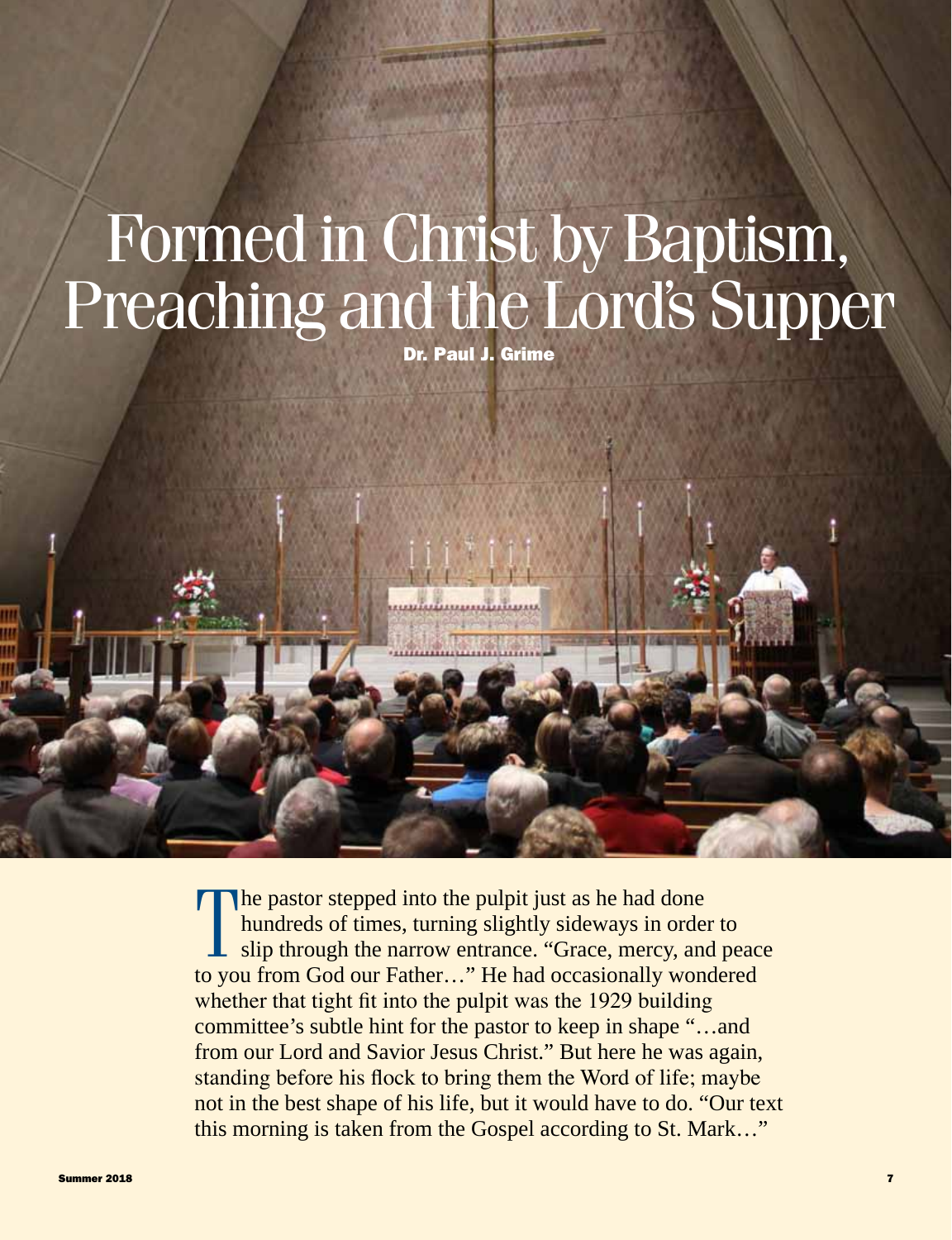# Preaching and the Lord's Supper

Dr. Paul J. Grime

The pastor stepped into the pulpit just as he had done<br>hundreds of times, turning slightly sideways in order to<br>slip through the narrow entrance. "Grace, mercy, and peace<br>to you from God our Fether..." He had occasionally he pastor stepped into the pulpit just as he had done hundreds of times, turning slightly sideways in order to to you from God our Father…" He had occasionally wondered whether that tight fit into the pulpit was the 1929 building committee's subtle hint for the pastor to keep in shape "…and from our Lord and Savior Jesus Christ." But here he was again, standing before his flock to bring them the Word of life; maybe not in the best shape of his life, but it would have to do. "Our text this morning is taken from the Gospel according to St. Mark…" Formed in Christ by Baptism,<br>
Preaching and the Lord's Supper<br>  $\frac{1}{2}$   $\frac{1}{2}$   $\frac{1}{2}$   $\frac{1}{2}$   $\frac{1}{2}$ <br>  $\frac{1}{2}$ <br>  $\frac{1}{2}$ <br>  $\frac{1}{2}$ <br>  $\frac{1}{2}$ <br>  $\frac{1}{2}$ <br>  $\frac{1}{2}$ <br>  $\frac{1}{2}$ <br>  $\frac{1}{2}$ <br>  $\frac{1}{2}$ <br>  $\frac{1}{2}$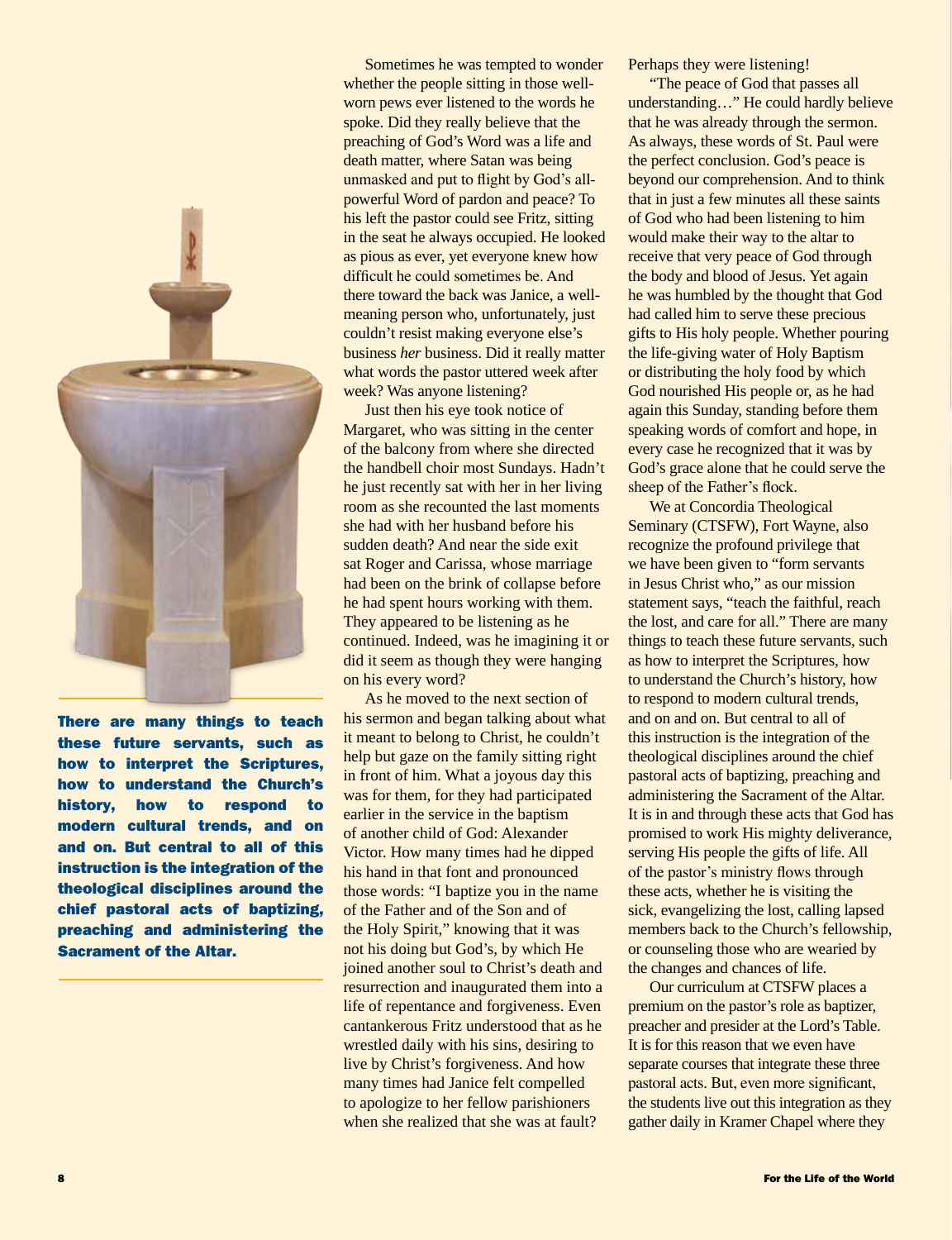

There are many things to teach these future servants, such as how to interpret the Scriptures, how to understand the Church's history, how to respond to modern cultural trends, and on and on. But central to all of this instruction is the integration of the theological disciplines around the chief pastoral acts of baptizing, preaching and administering the Sacrament of the Altar.

Sometimes he was tempted to wonder whether the people sitting in those wellworn pews ever listened to the words he spoke. Did they really believe that the preaching of God's Word was a life and death matter, where Satan was being unmasked and put to flight by God's allpowerful Word of pardon and peace? To his left the pastor could see Fritz, sitting in the seat he always occupied. He looked as pious as ever, yet everyone knew how difficult he could sometimes be. And there toward the back was Janice, a wellmeaning person who, unfortunately, just couldn't resist making everyone else's business *her* business. Did it really matter what words the pastor uttered week after week? Was anyone listening?

Just then his eye took notice of Margaret, who was sitting in the center of the balcony from where she directed the handbell choir most Sundays. Hadn't he just recently sat with her in her living room as she recounted the last moments she had with her husband before his sudden death? And near the side exit sat Roger and Carissa, whose marriage had been on the brink of collapse before he had spent hours working with them. They appeared to be listening as he continued. Indeed, was he imagining it or did it seem as though they were hanging on his every word?

As he moved to the next section of his sermon and began talking about what it meant to belong to Christ, he couldn't help but gaze on the family sitting right in front of him. What a joyous day this was for them, for they had participated earlier in the service in the baptism of another child of God: Alexander Victor. How many times had he dipped his hand in that font and pronounced those words: "I baptize you in the name of the Father and of the Son and of the Holy Spirit," knowing that it was not his doing but God's, by which He joined another soul to Christ's death and resurrection and inaugurated them into a life of repentance and forgiveness. Even cantankerous Fritz understood that as he wrestled daily with his sins, desiring to live by Christ's forgiveness. And how many times had Janice felt compelled to apologize to her fellow parishioners when she realized that she was at fault?

Perhaps they were listening!

"The peace of God that passes all understanding…" He could hardly believe that he was already through the sermon. As always, these words of St. Paul were the perfect conclusion. God's peace is beyond our comprehension. And to think that in just a few minutes all these saints of God who had been listening to him would make their way to the altar to receive that very peace of God through the body and blood of Jesus. Yet again he was humbled by the thought that God had called him to serve these precious gifts to His holy people. Whether pouring the life-giving water of Holy Baptism or distributing the holy food by which God nourished His people or, as he had again this Sunday, standing before them speaking words of comfort and hope, in every case he recognized that it was by God's grace alone that he could serve the sheep of the Father's flock.

We at Concordia Theological Seminary (CTSFW), Fort Wayne, also recognize the profound privilege that we have been given to "form servants in Jesus Christ who," as our mission statement says, "teach the faithful, reach the lost, and care for all." There are many things to teach these future servants, such as how to interpret the Scriptures, how to understand the Church's history, how to respond to modern cultural trends, and on and on. But central to all of this instruction is the integration of the theological disciplines around the chief pastoral acts of baptizing, preaching and administering the Sacrament of the Altar. It is in and through these acts that God has promised to work His mighty deliverance, serving His people the gifts of life. All of the pastor's ministry flows through these acts, whether he is visiting the sick, evangelizing the lost, calling lapsed members back to the Church's fellowship, or counseling those who are wearied by the changes and chances of life.

Our curriculum at CTSFW places a premium on the pastor's role as baptizer, preacher and presider at the Lord's Table. It is for this reason that we even have separate courses that integrate these three pastoral acts. But, even more significant, the students live out this integration as they gather daily in Kramer Chapel where they